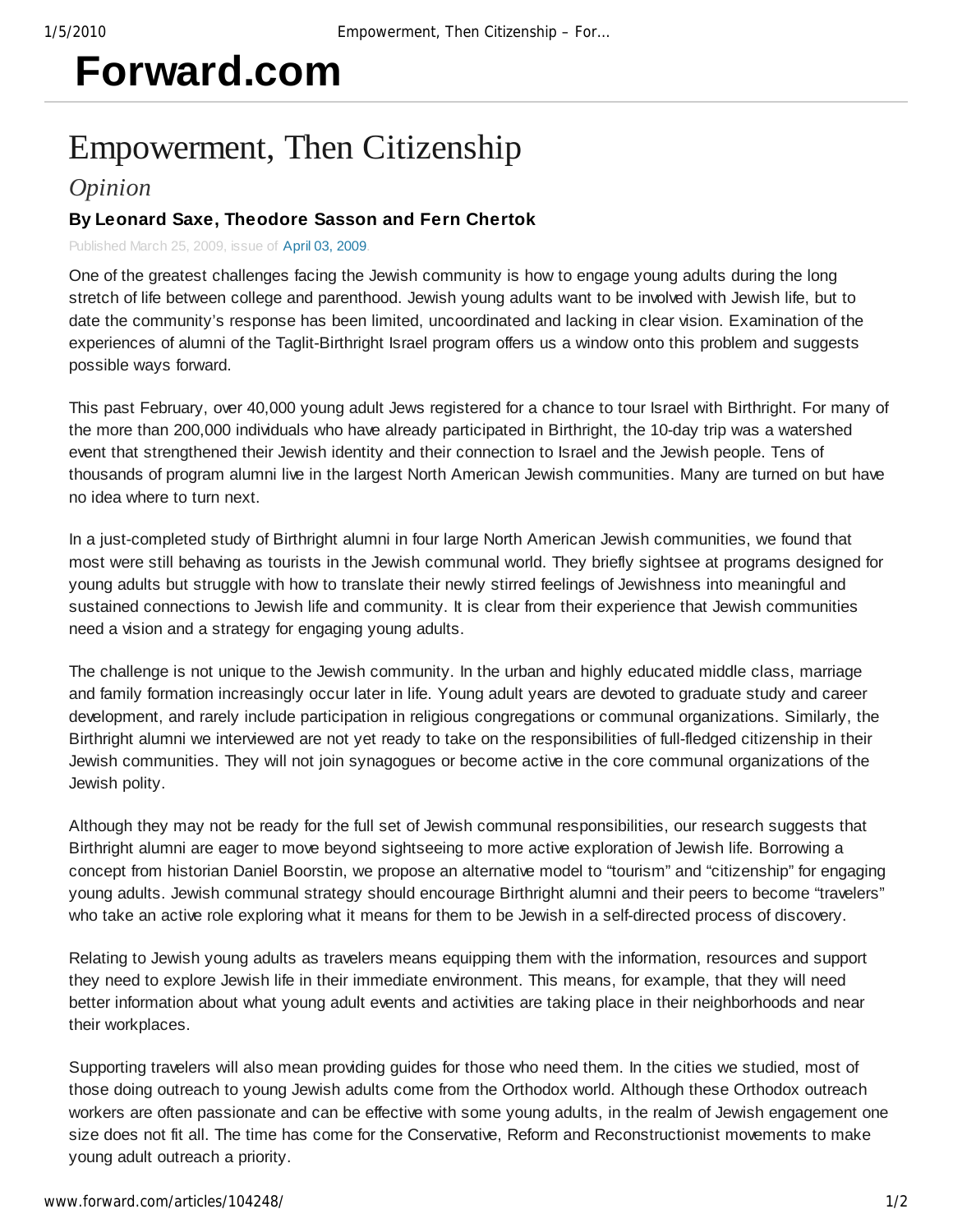# **Forward.com**

## Empowerment, Then Citizenship

### *Opinion*

#### **By Leonard Saxe, Theodore Sasson and Fern Chertok**

Published March 25, 2009, issue of April 03, 2009.

One of the greatest challenges facing the Jewish community is how to engage young adults during the long stretch of life between college and parenthood. Jewish young adults want to be involved with Jewish life, but to date the community's response has been limited, uncoordinated and lacking in clear vision. Examination of the experiences of alumni of the Taglit-Birthright Israel program offers us a window onto this problem and suggests possible ways forward.

This past February, over 40,000 young adult Jews registered for a chance to tour Israel with Birthright. For many of the more than 200,000 individuals who have already participated in Birthright, the 10-day trip was a watershed event that strengthened their Jewish identity and their connection to Israel and the Jewish people. Tens of thousands of program alumni live in the largest North American Jewish communities. Many are turned on but have no idea where to turn next.

In a just-completed study of Birthright alumni in four large North American Jewish communities, we found that most were still behaving as tourists in the Jewish communal world. They briefly sightsee at programs designed for young adults but struggle with how to translate their newly stirred feelings of Jewishness into meaningful and sustained connections to Jewish life and community. It is clear from their experience that Jewish communities need a vision and a strategy for engaging young adults.

The challenge is not unique to the Jewish community. In the urban and highly educated middle class, marriage and family formation increasingly occur later in life. Young adult years are devoted to graduate study and career development, and rarely include participation in religious congregations or communal organizations. Similarly, the Birthright alumni we interviewed are not yet ready to take on the responsibilities of full-fledged citizenship in their Jewish communities. They will not join synagogues or become active in the core communal organizations of the Jewish polity.

Although they may not be ready for the full set of Jewish communal responsibilities, our research suggests that Birthright alumni are eager to move beyond sightseeing to more active exploration of Jewish life. Borrowing a concept from historian Daniel Boorstin, we propose an alternative model to "tourism" and "citizenship" for engaging young adults. Jewish communal strategy should encourage Birthright alumni and their peers to become "travelers" who take an active role exploring what it means for them to be Jewish in a self-directed process of discovery.

Relating to Jewish young adults as travelers means equipping them with the information, resources and support they need to explore Jewish life in their immediate environment. This means, for example, that they will need better information about what young adult events and activities are taking place in their neighborhoods and near their workplaces.

Supporting travelers will also mean providing guides for those who need them. In the cities we studied, most of those doing outreach to young Jewish adults come from the Orthodox world. Although these Orthodox outreach workers are often passionate and can be effective with some young adults, in the realm of Jewish engagement one size does not fit all. The time has come for the Conservative, Reform and Reconstructionist movements to make young adult outreach a priority.